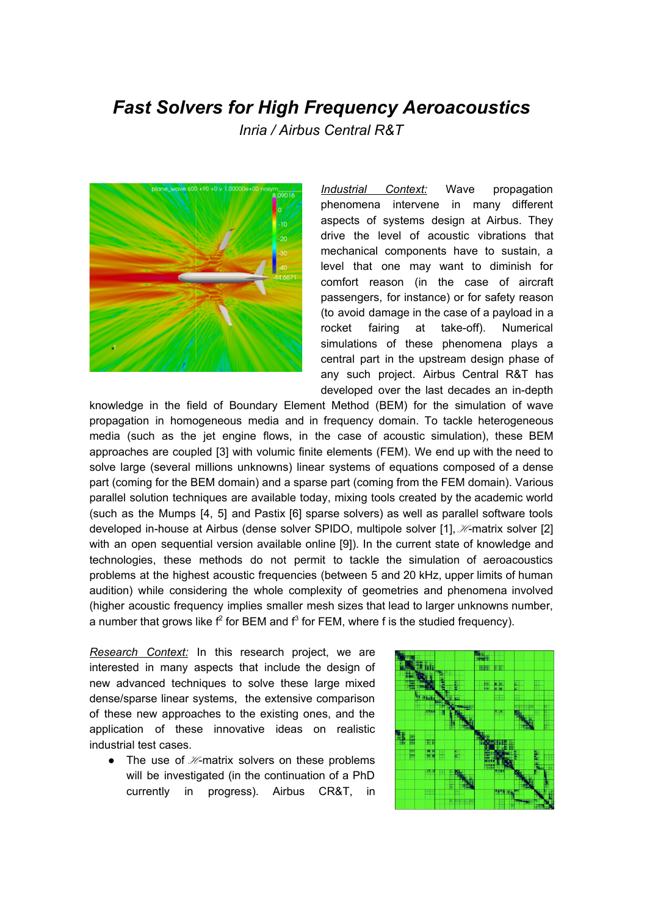## *Fast Solvers for High Frequency Aeroacoustics*

*Inria / Airbus Central R&T*



*Industrial Context:* Wave propagation phenomena intervene in many different aspects of systems design at Airbus. They drive the level of acoustic vibrations that mechanical components have to sustain, a level that one may want to diminish for comfort reason (in the case of aircraft passengers, for instance) or for safety reason (to avoid damage in the case of a payload in a rocket fairing at take-off). Numerical simulations of these phenomena plays a central part in the upstream design phase of any such project. Airbus Central R&T has developed over the last decades an in-depth

knowledge in the field of Boundary Element Method (BEM) for the simulation of wave propagation in homogeneous media and in frequency domain. To tackle heterogeneous media (such as the jet engine flows, in the case of acoustic simulation), these BEM approaches are coupled [3] with volumic finite elements (FEM). We end up with the need to solve large (several millions unknowns) linear systems of equations composed of a dense part (coming for the BEM domain) and a sparse part (coming from the FEM domain). Various parallel solution techniques are available today, mixing tools created by the academic world (such as the Mumps [4, 5] and Pastix [6] sparse solvers) as well as parallel software tools developed in-house at Airbus (dense solver SPIDO, multipole solver [1],  $\mathcal{H}$ -matrix solver [2] with an open sequential version available online [9]). In the current state of knowledge and technologies, these methods do not permit to tackle the simulation of aeroacoustics problems at the highest acoustic frequencies (between 5 and 20 kHz, upper limits of human audition) while considering the whole complexity of geometries and phenomena involved (higher acoustic frequency implies smaller mesh sizes that lead to larger unknowns number, a number that grows like  $f^2$  for BEM and  $f^3$  for FEM, where f is the studied frequency).

*Research Context:* In this research project, we are interested in many aspects that include the design of new advanced techniques to solve these large mixed dense/sparse linear systems, the extensive comparison of these new approaches to the existing ones, and the application of these innovative ideas on realistic industrial test cases.

• The use of  $\mathcal{H}-$ matrix solvers on these problems will be investigated (in the continuation of a PhD currently in progress). Airbus CR&T, in

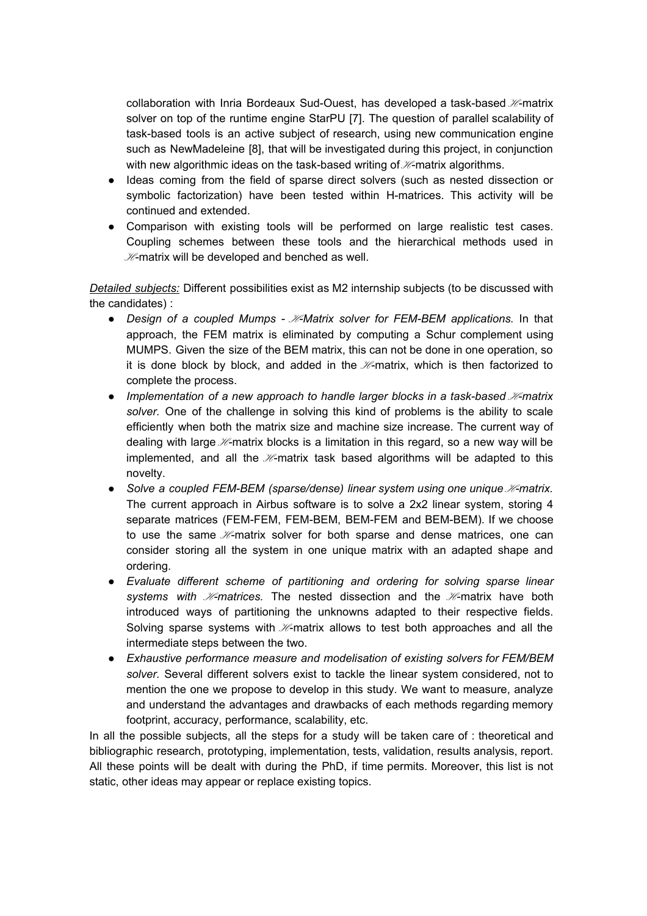collaboration with Inria Bordeaux Sud-Ouest, has developed a task-based  $H$ -matrix solver on top of the runtime engine StarPU [7]. The question of parallel scalability of task-based tools is an active subject of research, using new communication engine such as NewMadeleine [8], that will be investigated during this project, in conjunction with new algorithmic ideas on the task-based writing of  $\mathcal{H}\text{-}$  matrix algorithms.

- Ideas coming from the field of sparse direct solvers (such as nested dissection or symbolic factorization) have been tested within H-matrices. This activity will be continued and extended.
- Comparison with existing tools will be performed on large realistic test cases. Coupling schemes between these tools and the hierarchical methods used in  $H$ -matrix will be developed and benched as well.

*Detailed subjects:* Different possibilities exist as M2 internship subjects (to be discussed with the candidates) :

- *Design of a coupled Mumps*  $H$ *-Matrix solver for FEM-BEM applications.* In that approach, the FEM matrix is eliminated by computing a Schur complement using MUMPS. Given the size of the BEM matrix, this can not be done in one operation, so it is done block by block, and added in the  $H$ -matrix, which is then factorized to complete the process.
- *Implementation of a new approach to handle larger blocks in a task-based*  $H$ *-matrix solver.* One of the challenge in solving this kind of problems is the ability to scale efficiently when both the matrix size and machine size increase. The current way of dealing with large  $\mathcal{H}$ -matrix blocks is a limitation in this regard, so a new way will be implemented, and all the  $H$ -matrix task based algorithms will be adapted to this novelty.
- Solve a coupled FEM-BEM (sparse/dense) linear system using one unique *H*-matrix. The current approach in Airbus software is to solve a 2x2 linear system, storing 4 separate matrices (FEM-FEM, FEM-BEM, BEM-FEM and BEM-BEM). If we choose to use the same  $H$ -matrix solver for both sparse and dense matrices, one can consider storing all the system in one unique matrix with an adapted shape and ordering.
- *Evaluate different scheme of partitioning and ordering for solving sparse linear systems with M-matrices.* The nested dissection and the M-matrix have both introduced ways of partitioning the unknowns adapted to their respective fields. Solving sparse systems with  $\mathcal{H}-$ matrix allows to test both approaches and all the intermediate steps between the two.
- *Exhaustive performance measure and modelisation of existing solvers for FEM/BEM solver.* Several different solvers exist to tackle the linear system considered, not to mention the one we propose to develop in this study. We want to measure, analyze and understand the advantages and drawbacks of each methods regarding memory footprint, accuracy, performance, scalability, etc.

In all the possible subjects, all the steps for a study will be taken care of : theoretical and bibliographic research, prototyping, implementation, tests, validation, results analysis, report. All these points will be dealt with during the PhD, if time permits. Moreover, this list is not static, other ideas may appear or replace existing topics.